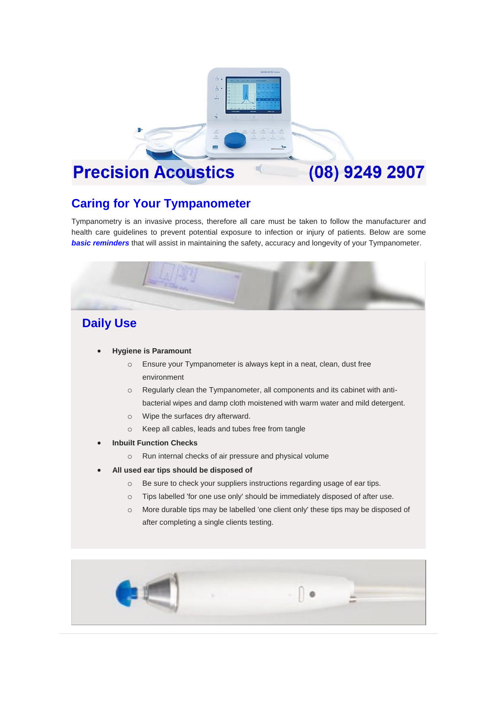

# **Caring for Your Tympanometer**

Tympanometry is an invasive process, therefore all care must be taken to follow the manufacturer and health care guidelines to prevent potential exposure to infection or injury of patients. Below are some **basic reminders** that will assist in maintaining the safety, accuracy and longevity of your Tympanometer.



## **Daily Use**

- **Hygiene is Paramount**
	- o Ensure your Tympanometer is always kept in a neat, clean, dust free environment
	- o Regularly clean the Tympanometer, all components and its cabinet with antibacterial wipes and damp cloth moistened with warm water and mild detergent.
	- o Wipe the surfaces dry afterward.
	- o Keep all cables, leads and tubes free from tangle
- **Inbuilt Function Checks**
	- o Run internal checks of air pressure and physical volume
- **All used ear tips should be disposed of**
	- o Be sure to check your suppliers instructions regarding usage of ear tips.
	- o Tips labelled 'for one use only' should be immediately disposed of after use.
	- o More durable tips may be labelled 'one client only' these tips may be disposed of after completing a single clients testing.